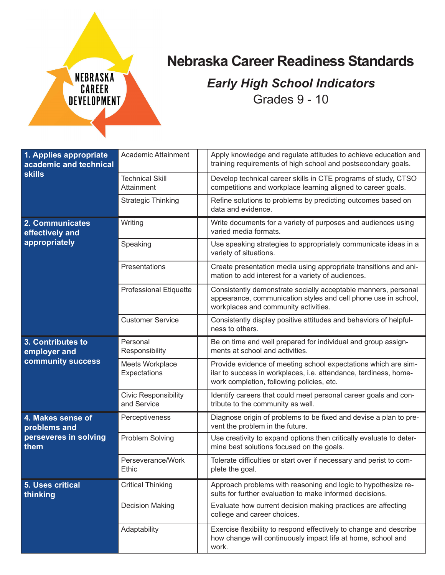

## **Nebraska Career Readiness Standards**

## *Early High School Indicators* Grades 9 - 10

| 1. Applies appropriate<br>academic and technical<br><b>skills</b>  | Academic Attainment                        | Apply knowledge and regulate attitudes to achieve education and<br>training requirements of high school and postsecondary goals.                                                |
|--------------------------------------------------------------------|--------------------------------------------|---------------------------------------------------------------------------------------------------------------------------------------------------------------------------------|
|                                                                    | <b>Technical Skill</b><br>Attainment       | Develop technical career skills in CTE programs of study, CTSO<br>competitions and workplace learning aligned to career goals.                                                  |
|                                                                    | <b>Strategic Thinking</b>                  | Refine solutions to problems by predicting outcomes based on<br>data and evidence.                                                                                              |
| 2. Communicates<br>effectively and<br>appropriately                | Writing                                    | Write documents for a variety of purposes and audiences using<br>varied media formats.                                                                                          |
|                                                                    | Speaking                                   | Use speaking strategies to appropriately communicate ideas in a<br>variety of situations.                                                                                       |
|                                                                    | Presentations                              | Create presentation media using appropriate transitions and ani-<br>mation to add interest for a variety of audiences.                                                          |
|                                                                    | <b>Professional Etiquette</b>              | Consistently demonstrate socially acceptable manners, personal<br>appearance, communication styles and cell phone use in school,<br>workplaces and community activities.        |
|                                                                    | <b>Customer Service</b>                    | Consistently display positive attitudes and behaviors of helpful-<br>ness to others.                                                                                            |
| 3. Contributes to<br>employer and<br>community success             | Personal<br>Responsibility                 | Be on time and well prepared for individual and group assign-<br>ments at school and activities.                                                                                |
|                                                                    | Meets Workplace<br>Expectations            | Provide evidence of meeting school expectations which are sim-<br>ilar to success in workplaces, i.e. attendance, tardiness, home-<br>work completion, following policies, etc. |
|                                                                    | <b>Civic Responsibility</b><br>and Service | Identify careers that could meet personal career goals and con-<br>tribute to the community as well.                                                                            |
| 4. Makes sense of<br>problems and<br>perseveres in solving<br>them | Perceptiveness                             | Diagnose origin of problems to be fixed and devise a plan to pre-<br>vent the problem in the future.                                                                            |
|                                                                    | Problem Solving                            | Use creativity to expand options then critically evaluate to deter-<br>mine best solutions focused on the goals.                                                                |
|                                                                    | Perseverance/Work<br>Ethic                 | Tolerate difficulties or start over if necessary and perist to com-<br>plete the goal.                                                                                          |
| 5. Uses critical<br>thinking                                       | <b>Critical Thinking</b>                   | Approach problems with reasoning and logic to hypothesize re-<br>sults for further evaluation to make informed decisions.                                                       |
|                                                                    | <b>Decision Making</b>                     | Evaluate how current decision making practices are affecting<br>college and career choices.                                                                                     |
|                                                                    | Adaptability                               | Exercise flexibility to respond effectively to change and describe<br>how change will continuously impact life at home, school and<br>work.                                     |